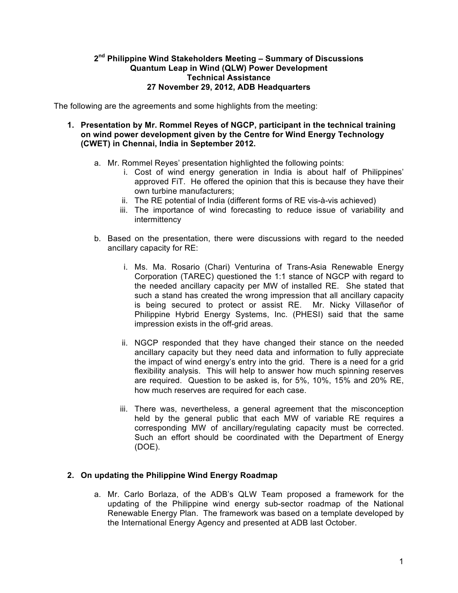#### **2nd Philippine Wind Stakeholders Meeting – Summary of Discussions Quantum Leap in Wind (QLW) Power Development Technical Assistance 27 November 29, 2012, ADB Headquarters**

The following are the agreements and some highlights from the meeting:

- **1. Presentation by Mr. Rommel Reyes of NGCP, participant in the technical training on wind power development given by the Centre for Wind Energy Technology (CWET) in Chennai, India in September 2012.**
	- a. Mr. Rommel Reyes' presentation highlighted the following points:
		- i. Cost of wind energy generation in India is about half of Philippines' approved FiT. He offered the opinion that this is because they have their own turbine manufacturers;
		- ii. The RE potential of India (different forms of RE vis-à-vis achieved)
		- iii. The importance of wind forecasting to reduce issue of variability and intermittency
	- b. Based on the presentation, there were discussions with regard to the needed ancillary capacity for RE:
		- i. Ms. Ma. Rosario (Chari) Venturina of Trans-Asia Renewable Energy Corporation (TAREC) questioned the 1:1 stance of NGCP with regard to the needed ancillary capacity per MW of installed RE. She stated that such a stand has created the wrong impression that all ancillary capacity is being secured to protect or assist RE. Mr. Nicky Villaseñor of Philippine Hybrid Energy Systems, Inc. (PHESI) said that the same impression exists in the off-grid areas.
		- ii. NGCP responded that they have changed their stance on the needed ancillary capacity but they need data and information to fully appreciate the impact of wind energy's entry into the grid. There is a need for a grid flexibility analysis. This will help to answer how much spinning reserves are required. Question to be asked is, for 5%, 10%, 15% and 20% RE, how much reserves are required for each case.
		- iii. There was, nevertheless, a general agreement that the misconception held by the general public that each MW of variable RE requires a corresponding MW of ancillary/regulating capacity must be corrected. Such an effort should be coordinated with the Department of Energy (DOE).

#### **2. On updating the Philippine Wind Energy Roadmap**

a. Mr. Carlo Borlaza, of the ADB's QLW Team proposed a framework for the updating of the Philippine wind energy sub-sector roadmap of the National Renewable Energy Plan. The framework was based on a template developed by the International Energy Agency and presented at ADB last October.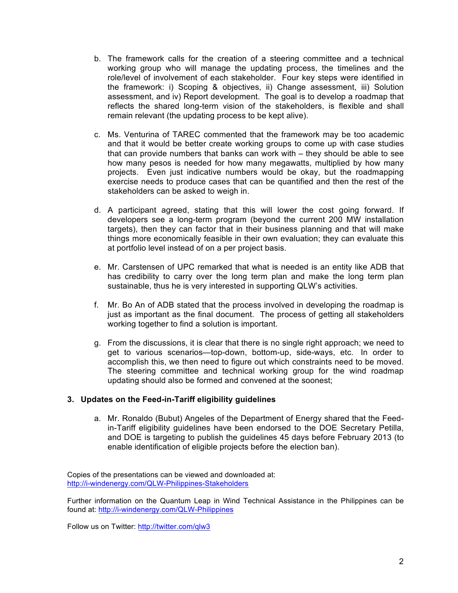- b. The framework calls for the creation of a steering committee and a technical working group who will manage the updating process, the timelines and the role/level of involvement of each stakeholder. Four key steps were identified in the framework: i) Scoping & objectives, ii) Change assessment, iii) Solution assessment, and iv) Report development. The goal is to develop a roadmap that reflects the shared long-term vision of the stakeholders, is flexible and shall remain relevant (the updating process to be kept alive).
- c. Ms. Venturina of TAREC commented that the framework may be too academic and that it would be better create working groups to come up with case studies that can provide numbers that banks can work with – they should be able to see how many pesos is needed for how many megawatts, multiplied by how many projects. Even just indicative numbers would be okay, but the roadmapping exercise needs to produce cases that can be quantified and then the rest of the stakeholders can be asked to weigh in.
- d. A participant agreed, stating that this will lower the cost going forward. If developers see a long-term program (beyond the current 200 MW installation targets), then they can factor that in their business planning and that will make things more economically feasible in their own evaluation; they can evaluate this at portfolio level instead of on a per project basis.
- e. Mr. Carstensen of UPC remarked that what is needed is an entity like ADB that has credibility to carry over the long term plan and make the long term plan sustainable, thus he is very interested in supporting QLW's activities.
- f. Mr. Bo An of ADB stated that the process involved in developing the roadmap is just as important as the final document. The process of getting all stakeholders working together to find a solution is important.
- g. From the discussions, it is clear that there is no single right approach; we need to get to various scenarios—top-down, bottom-up, side-ways, etc. In order to accomplish this, we then need to figure out which constraints need to be moved. The steering committee and technical working group for the wind roadmap updating should also be formed and convened at the soonest;

#### **3. Updates on the Feed-in-Tariff eligibility guidelines**

a. Mr. Ronaldo (Bubut) Angeles of the Department of Energy shared that the Feedin-Tariff eligibility guidelines have been endorsed to the DOE Secretary Petilla, and DOE is targeting to publish the guidelines 45 days before February 2013 (to enable identification of eligible projects before the election ban).

Copies of the presentations can be viewed and downloaded at: http://i-windenergy.com/QLW-Philippines-Stakeholders

Further information on the Quantum Leap in Wind Technical Assistance in the Philippines can be found at: http://i-windenergy.com/QLW-Philippines

Follow us on Twitter: http://twitter.com/qlw3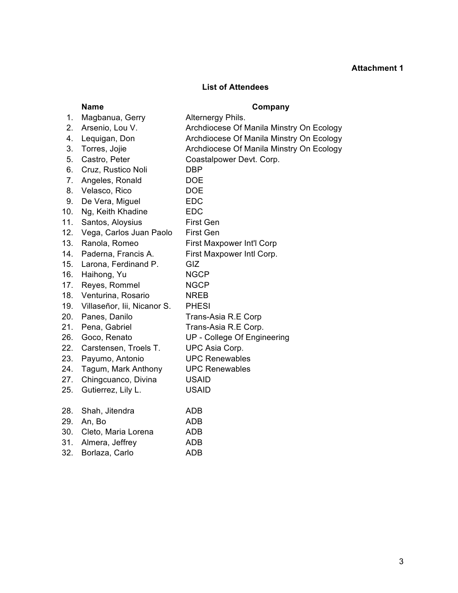# **Attachment 1**

### **List of Attendees**

## **Name Company**

| 1.  | Magbanua, Gerry             | Alternergy Phils.                        |
|-----|-----------------------------|------------------------------------------|
| 2.  | Arsenio, Lou V.             | Archdiocese Of Manila Minstry On Ecology |
| 4.  | Lequigan, Don               | Archdiocese Of Manila Minstry On Ecology |
| 3.  | Torres, Jojie               | Archdiocese Of Manila Minstry On Ecology |
| 5.  | Castro, Peter               | Coastalpower Devt. Corp.                 |
| 6.  | Cruz, Rustico Noli          | <b>DBP</b>                               |
| 7.  | Angeles, Ronald             | <b>DOE</b>                               |
| 8.  | Velasco, Rico               | <b>DOE</b>                               |
| 9.  | De Vera, Miguel             | <b>EDC</b>                               |
| 10. | Ng, Keith Khadine           | <b>EDC</b>                               |
| 11. | Santos, Aloysius            | <b>First Gen</b>                         |
| 12. | Vega, Carlos Juan Paolo     | <b>First Gen</b>                         |
| 13. | Ranola, Romeo               | First Maxpower Int'l Corp                |
| 14. | Paderna, Francis A.         | First Maxpower Intl Corp.                |
| 15. | Larona, Ferdinand P.        | GIZ                                      |
| 16. | Haihong, Yu                 | <b>NGCP</b>                              |
| 17. | Reyes, Rommel               | <b>NGCP</b>                              |
| 18. | Venturina, Rosario          | <b>NREB</b>                              |
| 19. | Villaseñor, lii, Nicanor S. | <b>PHESI</b>                             |
| 20. | Panes, Danilo               | Trans-Asia R.E Corp                      |
| 21. | Pena, Gabriel               | Trans-Asia R.E Corp.                     |
| 26. | Goco, Renato                | UP - College Of Engineering              |
| 22. | Carstensen, Troels T.       | UPC Asia Corp.                           |
| 23. | Payumo, Antonio             | <b>UPC Renewables</b>                    |
| 24. | Tagum, Mark Anthony         | <b>UPC Renewables</b>                    |
| 27. | Chingcuanco, Divina         | <b>USAID</b>                             |
| 25. | Gutierrez, Lily L.          | <b>USAID</b>                             |
| 28. | Shah, Jitendra              | <b>ADB</b>                               |
| 29. | An, Bo                      | <b>ADB</b>                               |
| 30. | Cleto, Maria Lorena         | <b>ADB</b>                               |
| 31. | Almera, Jeffrey             | <b>ADB</b>                               |
| 32. | Borlaza, Carlo              | <b>ADB</b>                               |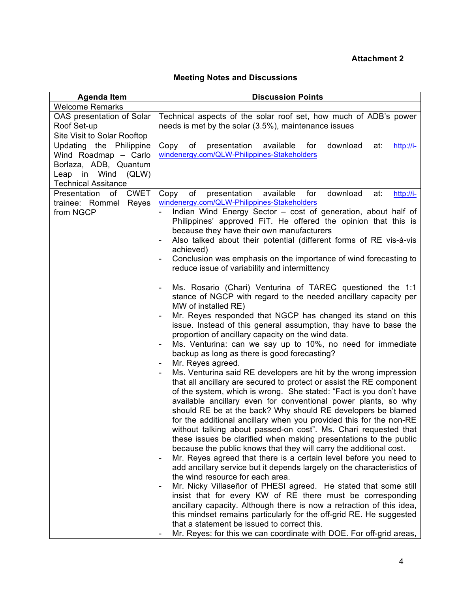## **Attachment 2**

## **Meeting Notes and Discussions**

| <b>Discussion Points</b>                                                                                                                                                                                                                                                                                                                                                                                                                                                                                                                                                                                                                                                                                                                                                                                                                                                                                                                                                                                                                                                                                                                                                                                                                                                                                                                                                                                                                                                                                                                                                                                                                                                                              |
|-------------------------------------------------------------------------------------------------------------------------------------------------------------------------------------------------------------------------------------------------------------------------------------------------------------------------------------------------------------------------------------------------------------------------------------------------------------------------------------------------------------------------------------------------------------------------------------------------------------------------------------------------------------------------------------------------------------------------------------------------------------------------------------------------------------------------------------------------------------------------------------------------------------------------------------------------------------------------------------------------------------------------------------------------------------------------------------------------------------------------------------------------------------------------------------------------------------------------------------------------------------------------------------------------------------------------------------------------------------------------------------------------------------------------------------------------------------------------------------------------------------------------------------------------------------------------------------------------------------------------------------------------------------------------------------------------------|
|                                                                                                                                                                                                                                                                                                                                                                                                                                                                                                                                                                                                                                                                                                                                                                                                                                                                                                                                                                                                                                                                                                                                                                                                                                                                                                                                                                                                                                                                                                                                                                                                                                                                                                       |
| Technical aspects of the solar roof set, how much of ADB's power                                                                                                                                                                                                                                                                                                                                                                                                                                                                                                                                                                                                                                                                                                                                                                                                                                                                                                                                                                                                                                                                                                                                                                                                                                                                                                                                                                                                                                                                                                                                                                                                                                      |
| needs is met by the solar (3.5%), maintenance issues                                                                                                                                                                                                                                                                                                                                                                                                                                                                                                                                                                                                                                                                                                                                                                                                                                                                                                                                                                                                                                                                                                                                                                                                                                                                                                                                                                                                                                                                                                                                                                                                                                                  |
|                                                                                                                                                                                                                                                                                                                                                                                                                                                                                                                                                                                                                                                                                                                                                                                                                                                                                                                                                                                                                                                                                                                                                                                                                                                                                                                                                                                                                                                                                                                                                                                                                                                                                                       |
| presentation<br>download<br>Copy<br>of<br>available<br>for<br>at:<br>http://i-                                                                                                                                                                                                                                                                                                                                                                                                                                                                                                                                                                                                                                                                                                                                                                                                                                                                                                                                                                                                                                                                                                                                                                                                                                                                                                                                                                                                                                                                                                                                                                                                                        |
| windenergy.com/QLW-Philippines-Stakeholders                                                                                                                                                                                                                                                                                                                                                                                                                                                                                                                                                                                                                                                                                                                                                                                                                                                                                                                                                                                                                                                                                                                                                                                                                                                                                                                                                                                                                                                                                                                                                                                                                                                           |
|                                                                                                                                                                                                                                                                                                                                                                                                                                                                                                                                                                                                                                                                                                                                                                                                                                                                                                                                                                                                                                                                                                                                                                                                                                                                                                                                                                                                                                                                                                                                                                                                                                                                                                       |
|                                                                                                                                                                                                                                                                                                                                                                                                                                                                                                                                                                                                                                                                                                                                                                                                                                                                                                                                                                                                                                                                                                                                                                                                                                                                                                                                                                                                                                                                                                                                                                                                                                                                                                       |
|                                                                                                                                                                                                                                                                                                                                                                                                                                                                                                                                                                                                                                                                                                                                                                                                                                                                                                                                                                                                                                                                                                                                                                                                                                                                                                                                                                                                                                                                                                                                                                                                                                                                                                       |
| of<br>presentation<br>available<br>for<br>download<br>at:<br>Copy<br>http://i-                                                                                                                                                                                                                                                                                                                                                                                                                                                                                                                                                                                                                                                                                                                                                                                                                                                                                                                                                                                                                                                                                                                                                                                                                                                                                                                                                                                                                                                                                                                                                                                                                        |
| windenergy.com/QLW-Philippines-Stakeholders                                                                                                                                                                                                                                                                                                                                                                                                                                                                                                                                                                                                                                                                                                                                                                                                                                                                                                                                                                                                                                                                                                                                                                                                                                                                                                                                                                                                                                                                                                                                                                                                                                                           |
| Indian Wind Energy Sector - cost of generation, about half of                                                                                                                                                                                                                                                                                                                                                                                                                                                                                                                                                                                                                                                                                                                                                                                                                                                                                                                                                                                                                                                                                                                                                                                                                                                                                                                                                                                                                                                                                                                                                                                                                                         |
| Philippines' approved FiT. He offered the opinion that this is                                                                                                                                                                                                                                                                                                                                                                                                                                                                                                                                                                                                                                                                                                                                                                                                                                                                                                                                                                                                                                                                                                                                                                                                                                                                                                                                                                                                                                                                                                                                                                                                                                        |
| because they have their own manufacturers                                                                                                                                                                                                                                                                                                                                                                                                                                                                                                                                                                                                                                                                                                                                                                                                                                                                                                                                                                                                                                                                                                                                                                                                                                                                                                                                                                                                                                                                                                                                                                                                                                                             |
| Also talked about their potential (different forms of RE vis-à-vis<br>$\overline{\phantom{0}}$                                                                                                                                                                                                                                                                                                                                                                                                                                                                                                                                                                                                                                                                                                                                                                                                                                                                                                                                                                                                                                                                                                                                                                                                                                                                                                                                                                                                                                                                                                                                                                                                        |
| achieved)                                                                                                                                                                                                                                                                                                                                                                                                                                                                                                                                                                                                                                                                                                                                                                                                                                                                                                                                                                                                                                                                                                                                                                                                                                                                                                                                                                                                                                                                                                                                                                                                                                                                                             |
| Conclusion was emphasis on the importance of wind forecasting to<br>$\qquad \qquad \blacksquare$                                                                                                                                                                                                                                                                                                                                                                                                                                                                                                                                                                                                                                                                                                                                                                                                                                                                                                                                                                                                                                                                                                                                                                                                                                                                                                                                                                                                                                                                                                                                                                                                      |
| reduce issue of variability and intermittency                                                                                                                                                                                                                                                                                                                                                                                                                                                                                                                                                                                                                                                                                                                                                                                                                                                                                                                                                                                                                                                                                                                                                                                                                                                                                                                                                                                                                                                                                                                                                                                                                                                         |
| Ms. Rosario (Chari) Venturina of TAREC questioned the 1:1<br>stance of NGCP with regard to the needed ancillary capacity per<br>MW of installed RE)<br>Mr. Reyes responded that NGCP has changed its stand on this<br>issue. Instead of this general assumption, thay have to base the<br>proportion of ancillary capacity on the wind data.<br>Ms. Venturina: can we say up to 10%, no need for immediate<br>$\qquad \qquad \blacksquare$<br>backup as long as there is good forecasting?<br>Mr. Reyes agreed.<br>$\overline{\phantom{a}}$<br>Ms. Venturina said RE developers are hit by the wrong impression<br>that all ancillary are secured to protect or assist the RE component<br>of the system, which is wrong. She stated: "Fact is you don't have<br>available ancillary even for conventional power plants, so why<br>should RE be at the back? Why should RE developers be blamed<br>for the additional ancillary when you provided this for the non-RE<br>without talking about passed-on cost". Ms. Chari requested that<br>these issues be clarified when making presentations to the public<br>because the public knows that they will carry the additional cost.<br>Mr. Reyes agreed that there is a certain level before you need to<br>add ancillary service but it depends largely on the characteristics of<br>the wind resource for each area.<br>Mr. Nicky Villaseñor of PHESI agreed. He stated that some still<br>insist that for every KW of RE there must be corresponding<br>ancillary capacity. Although there is now a retraction of this idea,<br>this mindset remains particularly for the off-grid RE. He suggested<br>that a statement be issued to correct this. |
| OAS presentation of Solar<br><b>CWET</b>                                                                                                                                                                                                                                                                                                                                                                                                                                                                                                                                                                                                                                                                                                                                                                                                                                                                                                                                                                                                                                                                                                                                                                                                                                                                                                                                                                                                                                                                                                                                                                                                                                                              |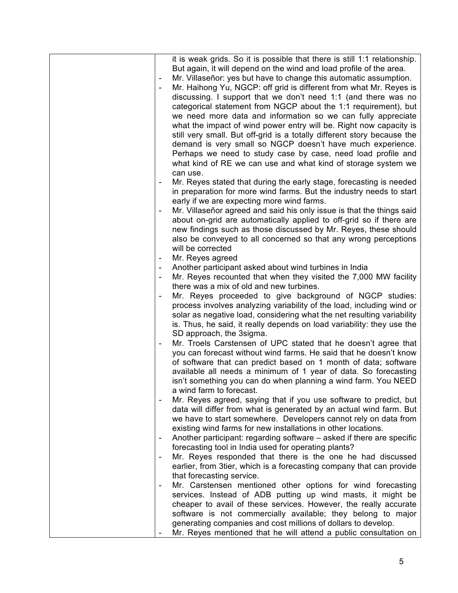|   | it is weak grids. So it is possible that there is still 1:1 relationship.<br>But again, it will depend on the wind and load profile of the area. |
|---|--------------------------------------------------------------------------------------------------------------------------------------------------|
| ۰ | Mr. Villaseñor: yes but have to change this automatic assumption.                                                                                |
|   | Mr. Haihong Yu, NGCP: off grid is different from what Mr. Reyes is                                                                               |
|   | discussing. I support that we don't need 1:1 (and there was no                                                                                   |
|   | categorical statement from NGCP about the 1:1 requirement), but                                                                                  |
|   | we need more data and information so we can fully appreciate                                                                                     |
|   | what the impact of wind power entry will be. Right now capacity is                                                                               |
|   | still very small. But off-grid is a totally different story because the<br>demand is very small so NGCP doesn't have much experience.            |
|   | Perhaps we need to study case by case, need load profile and                                                                                     |
|   | what kind of RE we can use and what kind of storage system we                                                                                    |
|   | can use.                                                                                                                                         |
|   | Mr. Reyes stated that during the early stage, forecasting is needed                                                                              |
|   | in preparation for more wind farms. But the industry needs to start                                                                              |
|   | early if we are expecting more wind farms.                                                                                                       |
|   | Mr. Villaseñor agreed and said his only issue is that the things said                                                                            |
|   | about on-grid are automatically applied to off-grid so if there are                                                                              |
|   | new findings such as those discussed by Mr. Reyes, these should                                                                                  |
|   | also be conveyed to all concerned so that any wrong perceptions                                                                                  |
|   | will be corrected<br>Mr. Reyes agreed                                                                                                            |
|   | Another participant asked about wind turbines in India                                                                                           |
|   | Mr. Reyes recounted that when they visited the 7,000 MW facility                                                                                 |
|   | there was a mix of old and new turbines.                                                                                                         |
|   | Mr. Reyes proceeded to give background of NGCP studies:                                                                                          |
|   | process involves analyzing variability of the load, including wind or                                                                            |
|   | solar as negative load, considering what the net resulting variability                                                                           |
|   | is. Thus, he said, it really depends on load variability: they use the                                                                           |
|   | SD approach, the 3sigma.                                                                                                                         |
|   | Mr. Troels Carstensen of UPC stated that he doesn't agree that<br>you can forecast without wind farms. He said that he doesn't know              |
|   | of software that can predict based on 1 month of data; software                                                                                  |
|   | available all needs a minimum of 1 year of data. So forecasting                                                                                  |
|   | isn't something you can do when planning a wind farm. You NEED                                                                                   |
|   | a wind farm to forecast.                                                                                                                         |
|   | Mr. Reyes agreed, saying that if you use software to predict, but                                                                                |
|   | data will differ from what is generated by an actual wind farm. But                                                                              |
|   | we have to start somewhere. Developers cannot rely on data from                                                                                  |
|   | existing wind farms for new installations in other locations.                                                                                    |
|   | Another participant: regarding software – asked if there are specific                                                                            |
|   | forecasting tool in India used for operating plants?<br>Mr. Reyes responded that there is the one he had discussed                               |
|   | earlier, from 3tier, which is a forecasting company that can provide                                                                             |
|   | that forecasting service.                                                                                                                        |
| ۰ | Mr. Carstensen mentioned other options for wind forecasting                                                                                      |
|   | services. Instead of ADB putting up wind masts, it might be                                                                                      |
|   | cheaper to avail of these services. However, the really accurate                                                                                 |
|   | software is not commercially available; they belong to major                                                                                     |
|   | generating companies and cost millions of dollars to develop.                                                                                    |
|   | Mr. Reyes mentioned that he will attend a public consultation on                                                                                 |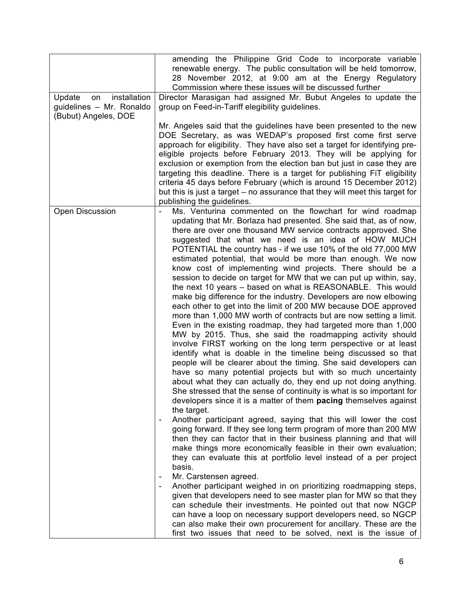|                                                                                  | amending the Philippine Grid Code to incorporate variable<br>renewable energy. The public consultation will be held tomorrow,<br>28 November 2012, at 9:00 am at the Energy Regulatory                                                                                                                                                                                                                                                                                                                                                                                                                                                                                                                                                                                                                                                                                                                                                                                                                                                                                                                                                                                                                                                                                                                                                                                                                                                                                                                                                                                                                                                                                                                                                                                                                                                                                                                                                                                                                                                                                                                                                                                                                                                                               |
|----------------------------------------------------------------------------------|----------------------------------------------------------------------------------------------------------------------------------------------------------------------------------------------------------------------------------------------------------------------------------------------------------------------------------------------------------------------------------------------------------------------------------------------------------------------------------------------------------------------------------------------------------------------------------------------------------------------------------------------------------------------------------------------------------------------------------------------------------------------------------------------------------------------------------------------------------------------------------------------------------------------------------------------------------------------------------------------------------------------------------------------------------------------------------------------------------------------------------------------------------------------------------------------------------------------------------------------------------------------------------------------------------------------------------------------------------------------------------------------------------------------------------------------------------------------------------------------------------------------------------------------------------------------------------------------------------------------------------------------------------------------------------------------------------------------------------------------------------------------------------------------------------------------------------------------------------------------------------------------------------------------------------------------------------------------------------------------------------------------------------------------------------------------------------------------------------------------------------------------------------------------------------------------------------------------------------------------------------------------|
|                                                                                  | Commission where these issues will be discussed further                                                                                                                                                                                                                                                                                                                                                                                                                                                                                                                                                                                                                                                                                                                                                                                                                                                                                                                                                                                                                                                                                                                                                                                                                                                                                                                                                                                                                                                                                                                                                                                                                                                                                                                                                                                                                                                                                                                                                                                                                                                                                                                                                                                                              |
| installation<br>Update<br>on<br>guidelines - Mr. Ronaldo<br>(Bubut) Angeles, DOE | Director Marasigan had assigned Mr. Bubut Angeles to update the<br>group on Feed-in-Tariff elegibility guidelines.                                                                                                                                                                                                                                                                                                                                                                                                                                                                                                                                                                                                                                                                                                                                                                                                                                                                                                                                                                                                                                                                                                                                                                                                                                                                                                                                                                                                                                                                                                                                                                                                                                                                                                                                                                                                                                                                                                                                                                                                                                                                                                                                                   |
|                                                                                  | Mr. Angeles said that the guidelines have been presented to the new<br>DOE Secretary, as was WEDAP's proposed first come first serve<br>approach for eligibility. They have also set a target for identifying pre-<br>eligible projects before February 2013. They will be applying for<br>exclusion or exemption from the election ban but just in case they are<br>targeting this deadline. There is a target for publishing FiT eligibility<br>criteria 45 days before February (which is around 15 December 2012)<br>but this is just a target – no assurance that they will meet this target for<br>publishing the guidelines.                                                                                                                                                                                                                                                                                                                                                                                                                                                                                                                                                                                                                                                                                                                                                                                                                                                                                                                                                                                                                                                                                                                                                                                                                                                                                                                                                                                                                                                                                                                                                                                                                                  |
| <b>Open Discussion</b>                                                           | Ms. Venturina commented on the flowchart for wind roadmap<br>updating that Mr. Borlaza had presented. She said that, as of now,<br>there are over one thousand MW service contracts approved. She<br>suggested that what we need is an idea of HOW MUCH<br>POTENTIAL the country has - if we use 10% of the old 77,000 MW<br>estimated potential, that would be more than enough. We now<br>know cost of implementing wind projects. There should be a<br>session to decide on target for MW that we can put up within, say,<br>the next 10 years - based on what is REASONABLE. This would<br>make big difference for the industry. Developers are now elbowing<br>each other to get into the limit of 200 MW because DOE approved<br>more than 1,000 MW worth of contracts but are now setting a limit.<br>Even in the existing roadmap, they had targeted more than 1,000<br>MW by 2015. Thus, she said the roadmapping activity should<br>involve FIRST working on the long term perspective or at least<br>identify what is doable in the timeline being discussed so that<br>people will be clearer about the timing. She said developers can<br>have so many potential projects but with so much uncertainty<br>about what they can actually do, they end up not doing anything.<br>She stressed that the sense of continuity is what is so important for<br>developers since it is a matter of them pacing themselves against<br>the target.<br>Another participant agreed, saying that this will lower the cost<br>going forward. If they see long term program of more than 200 MW<br>then they can factor that in their business planning and that will<br>make things more economically feasible in their own evaluation;<br>they can evaluate this at portfolio level instead of a per project<br>basis.<br>Mr. Carstensen agreed.<br>۰<br>Another participant weighed in on prioritizing roadmapping steps,<br>given that developers need to see master plan for MW so that they<br>can schedule their investments. He pointed out that now NGCP<br>can have a loop on necessary support developers need, so NGCP<br>can also make their own procurement for ancillary. These are the<br>first two issues that need to be solved, next is the issue of |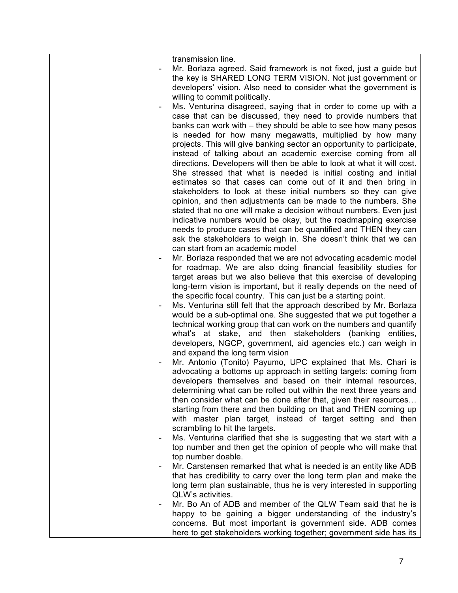|   | transmission line.                                                     |
|---|------------------------------------------------------------------------|
|   | Mr. Borlaza agreed. Said framework is not fixed, just a guide but      |
|   | the key is SHARED LONG TERM VISION. Not just government or             |
|   | developers' vision. Also need to consider what the government is       |
|   | willing to commit politically.                                         |
|   | Ms. Venturina disagreed, saying that in order to come up with a        |
|   | case that can be discussed, they need to provide numbers that          |
|   | banks can work with – they should be able to see how many pesos        |
|   | is needed for how many megawatts, multiplied by how many               |
|   |                                                                        |
|   | projects. This will give banking sector an opportunity to participate, |
|   | instead of talking about an academic exercise coming from all          |
|   | directions. Developers will then be able to look at what it will cost. |
|   | She stressed that what is needed is initial costing and initial        |
|   | estimates so that cases can come out of it and then bring in           |
|   | stakeholders to look at these initial numbers so they can give         |
|   | opinion, and then adjustments can be made to the numbers. She          |
|   | stated that no one will make a decision without numbers. Even just     |
|   | indicative numbers would be okay, but the roadmapping exercise         |
|   | needs to produce cases that can be quantified and THEN they can        |
|   | ask the stakeholders to weigh in. She doesn't think that we can        |
|   | can start from an academic model                                       |
|   | Mr. Borlaza responded that we are not advocating academic model        |
|   | for roadmap. We are also doing financial feasibility studies for       |
|   | target areas but we also believe that this exercise of developing      |
|   | long-term vision is important, but it really depends on the need of    |
|   | the specific focal country. This can just be a starting point.         |
|   | Ms. Venturina still felt that the approach described by Mr. Borlaza    |
|   | would be a sub-optimal one. She suggested that we put together a       |
|   | technical working group that can work on the numbers and quantify      |
|   | what's at stake, and then stakeholders (banking entities,              |
|   | developers, NGCP, government, aid agencies etc.) can weigh in          |
|   | and expand the long term vision                                        |
|   | Mr. Antonio (Tonito) Payumo, UPC explained that Ms. Chari is           |
|   | advocating a bottoms up approach in setting targets: coming from       |
|   | developers themselves and based on their internal resources,           |
|   | determining what can be rolled out within the next three years and     |
|   | then consider what can be done after that, given their resources       |
|   | starting from there and then building on that and THEN coming up       |
|   | with master plan target, instead of target setting and then            |
|   | scrambling to hit the targets.                                         |
| ۰ | Ms. Venturina clarified that she is suggesting that we start with a    |
|   | top number and then get the opinion of people who will make that       |
|   | top number doable.                                                     |
|   | Mr. Carstensen remarked that what is needed is an entity like ADB      |
|   | that has credibility to carry over the long term plan and make the     |
|   | long term plan sustainable, thus he is very interested in supporting   |
|   | QLW's activities.                                                      |
|   | Mr. Bo An of ADB and member of the QLW Team said that he is            |
|   | happy to be gaining a bigger understanding of the industry's           |
|   | concerns. But most important is government side. ADB comes             |
|   | here to get stakeholders working together; government side has its     |